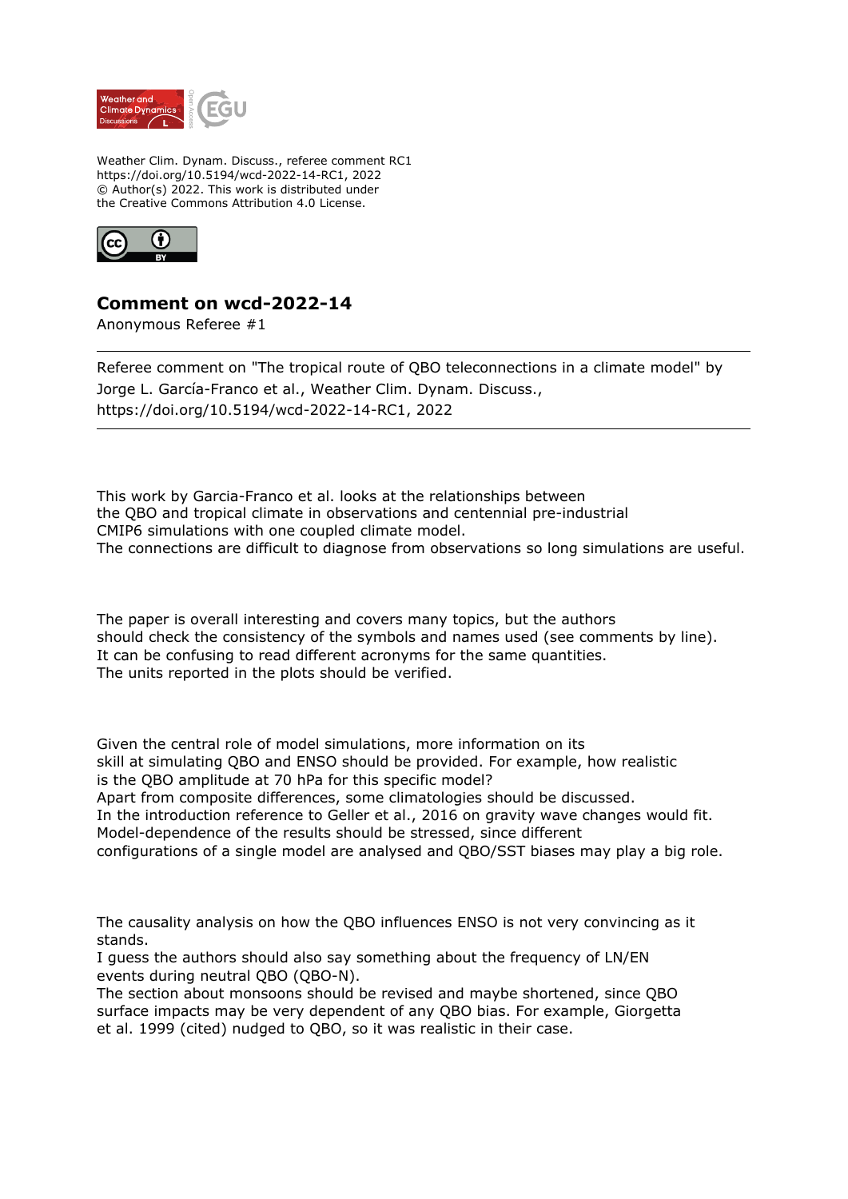

Weather Clim. Dynam. Discuss., referee comment RC1 https://doi.org/10.5194/wcd-2022-14-RC1, 2022 © Author(s) 2022. This work is distributed under the Creative Commons Attribution 4.0 License.



## **Comment on wcd-2022-14**

Anonymous Referee #1

Referee comment on "The tropical route of QBO teleconnections in a climate model" by Jorge L. García-Franco et al., Weather Clim. Dynam. Discuss., https://doi.org/10.5194/wcd-2022-14-RC1, 2022

This work by Garcia-Franco et al. looks at the relationships between the QBO and tropical climate in observations and centennial pre-industrial CMIP6 simulations with one coupled climate model. The connections are difficult to diagnose from observations so long simulations are useful.

The paper is overall interesting and covers many topics, but the authors should check the consistency of the symbols and names used (see comments by line). It can be confusing to read different acronyms for the same quantities. The units reported in the plots should be verified.

Given the central role of model simulations, more information on its skill at simulating QBO and ENSO should be provided. For example, how realistic is the QBO amplitude at 70 hPa for this specific model? Apart from composite differences, some climatologies should be discussed. In the introduction reference to Geller et al., 2016 on gravity wave changes would fit. Model-dependence of the results should be stressed, since different configurations of a single model are analysed and QBO/SST biases may play a big role.

The causality analysis on how the QBO influences ENSO is not very convincing as it stands.

I guess the authors should also say something about the frequency of LN/EN events during neutral QBO (QBO-N).

The section about monsoons should be revised and maybe shortened, since QBO surface impacts may be very dependent of any QBO bias. For example, Giorgetta et al. 1999 (cited) nudged to QBO, so it was realistic in their case.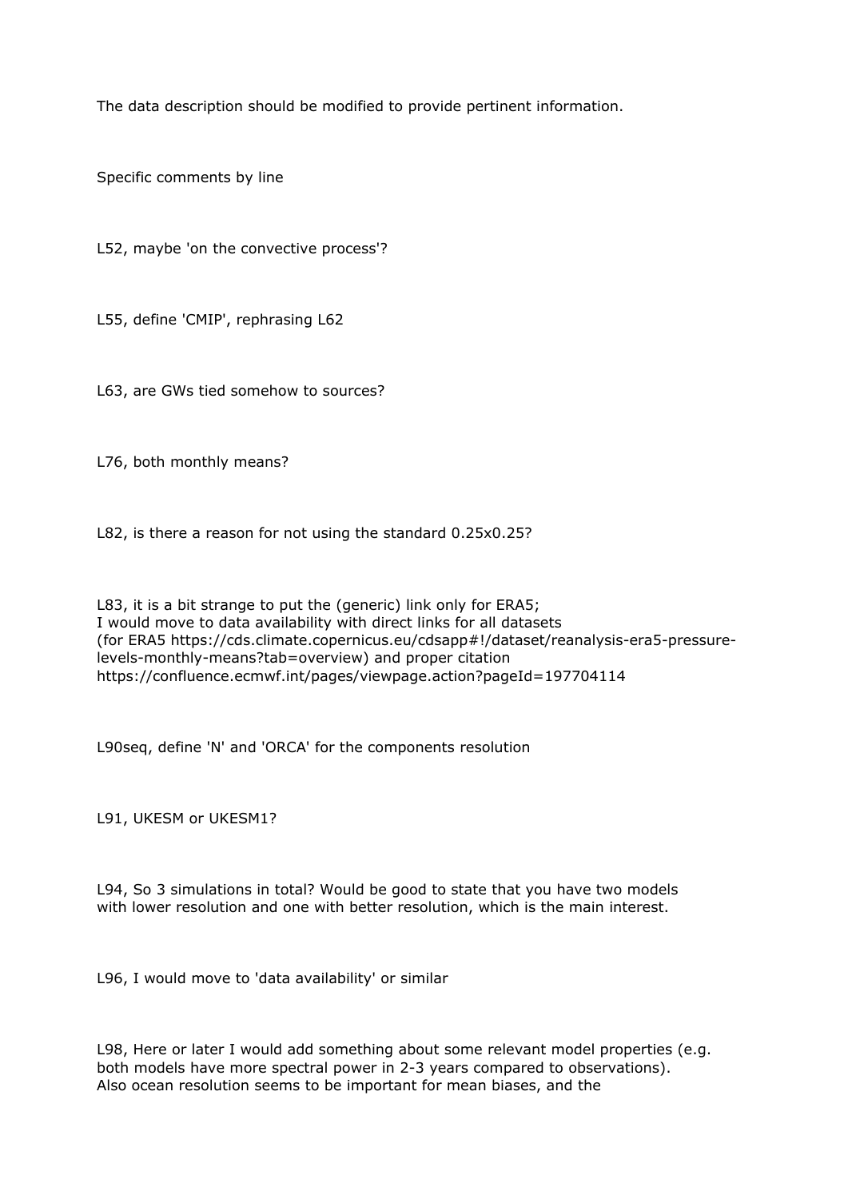The data description should be modified to provide pertinent information.

Specific comments by line

L52, maybe 'on the convective process'?

L55, define 'CMIP', rephrasing L62

L63, are GWs tied somehow to sources?

L76, both monthly means?

L82, is there a reason for not using the standard 0.25x0.25?

L83, it is a bit strange to put the (generic) link only for ERA5; I would move to data availability with direct links for all datasets (for ERA5 https://cds.climate.copernicus.eu/cdsapp#!/dataset/reanalysis-era5-pressurelevels-monthly-means?tab=overview) and proper citation https://confluence.ecmwf.int/pages/viewpage.action?pageId=197704114

L90seq, define 'N' and 'ORCA' for the components resolution

L91, UKESM or UKESM1?

L94, So 3 simulations in total? Would be good to state that you have two models with lower resolution and one with better resolution, which is the main interest.

L96, I would move to 'data availability' or similar

L98, Here or later I would add something about some relevant model properties (e.g. both models have more spectral power in 2-3 years compared to observations). Also ocean resolution seems to be important for mean biases, and the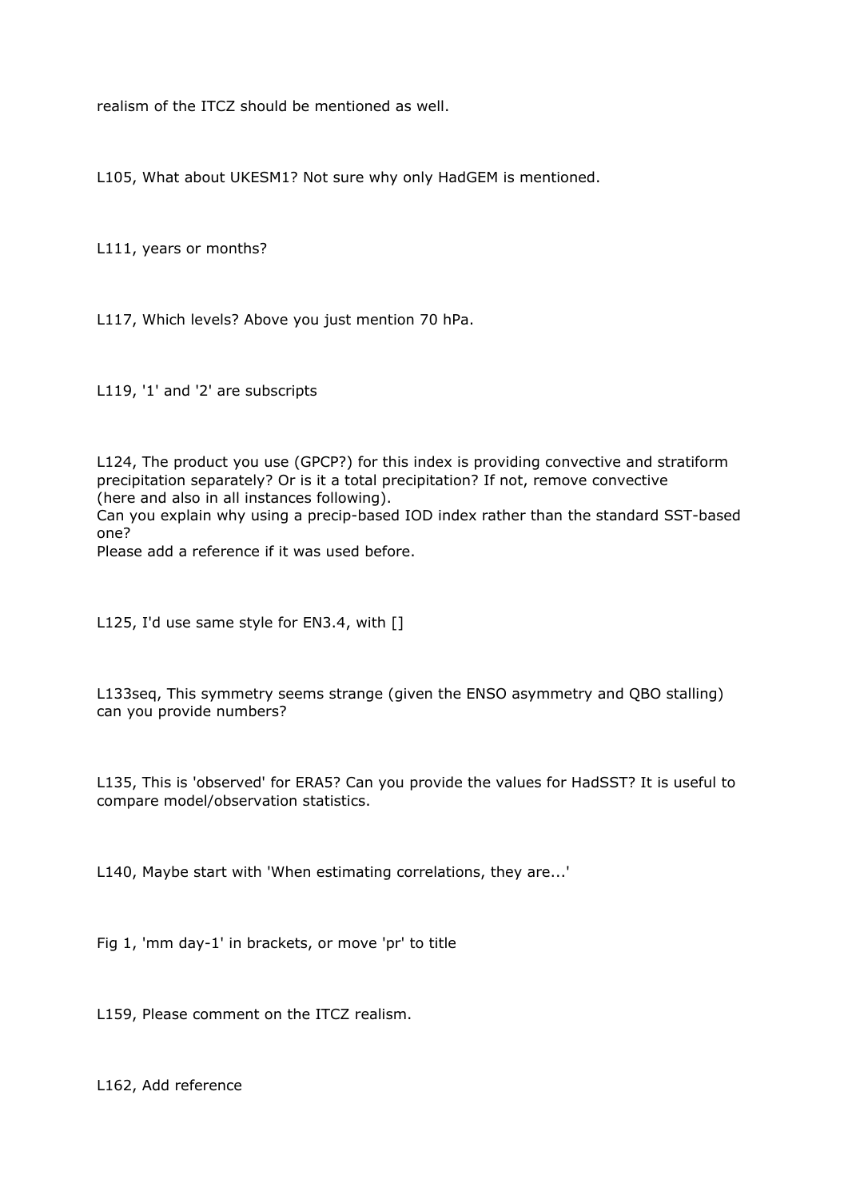realism of the ITCZ should be mentioned as well.

L105, What about UKESM1? Not sure why only HadGEM is mentioned.

L111, years or months?

L117, Which levels? Above you just mention 70 hPa.

L119, '1' and '2' are subscripts

L124, The product you use (GPCP?) for this index is providing convective and stratiform precipitation separately? Or is it a total precipitation? If not, remove convective (here and also in all instances following).

Can you explain why using a precip-based IOD index rather than the standard SST-based one?

Please add a reference if it was used before.

L125, I'd use same style for EN3.4, with []

L133seq, This symmetry seems strange (given the ENSO asymmetry and QBO stalling) can you provide numbers?

L135, This is 'observed' for ERA5? Can you provide the values for HadSST? It is useful to compare model/observation statistics.

L140, Maybe start with 'When estimating correlations, they are...'

Fig 1, 'mm day-1' in brackets, or move 'pr' to title

L159, Please comment on the ITCZ realism.

L162, Add reference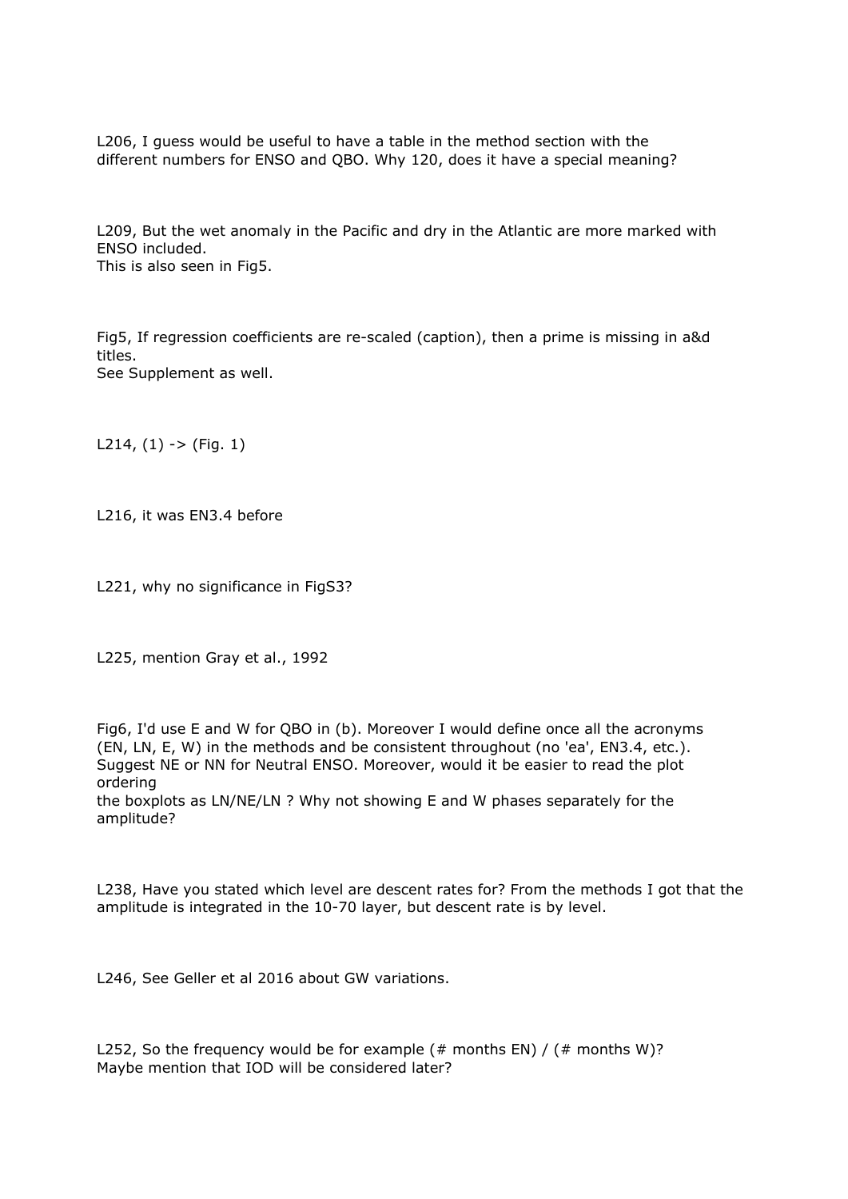L206, I guess would be useful to have a table in the method section with the different numbers for ENSO and QBO. Why 120, does it have a special meaning?

L209, But the wet anomaly in the Pacific and dry in the Atlantic are more marked with ENSO included. This is also seen in Fig5.

Fig5, If regression coefficients are re-scaled (caption), then a prime is missing in a&d titles. See Supplement as well.

L214,  $(1)$  ->  $(Fiq. 1)$ 

L216, it was EN3.4 before

L221, why no significance in FigS3?

L225, mention Gray et al., 1992

Fig6, I'd use E and W for QBO in (b). Moreover I would define once all the acronyms (EN, LN, E, W) in the methods and be consistent throughout (no 'ea', EN3.4, etc.). Suggest NE or NN for Neutral ENSO. Moreover, would it be easier to read the plot ordering the boxplots as LN/NE/LN ? Why not showing E and W phases separately for the

amplitude?

L238, Have you stated which level are descent rates for? From the methods I got that the amplitude is integrated in the 10-70 layer, but descent rate is by level.

L246, See Geller et al 2016 about GW variations.

L252, So the frequency would be for example  $(\#$  months EN) /  $(\#$  months W)? Maybe mention that IOD will be considered later?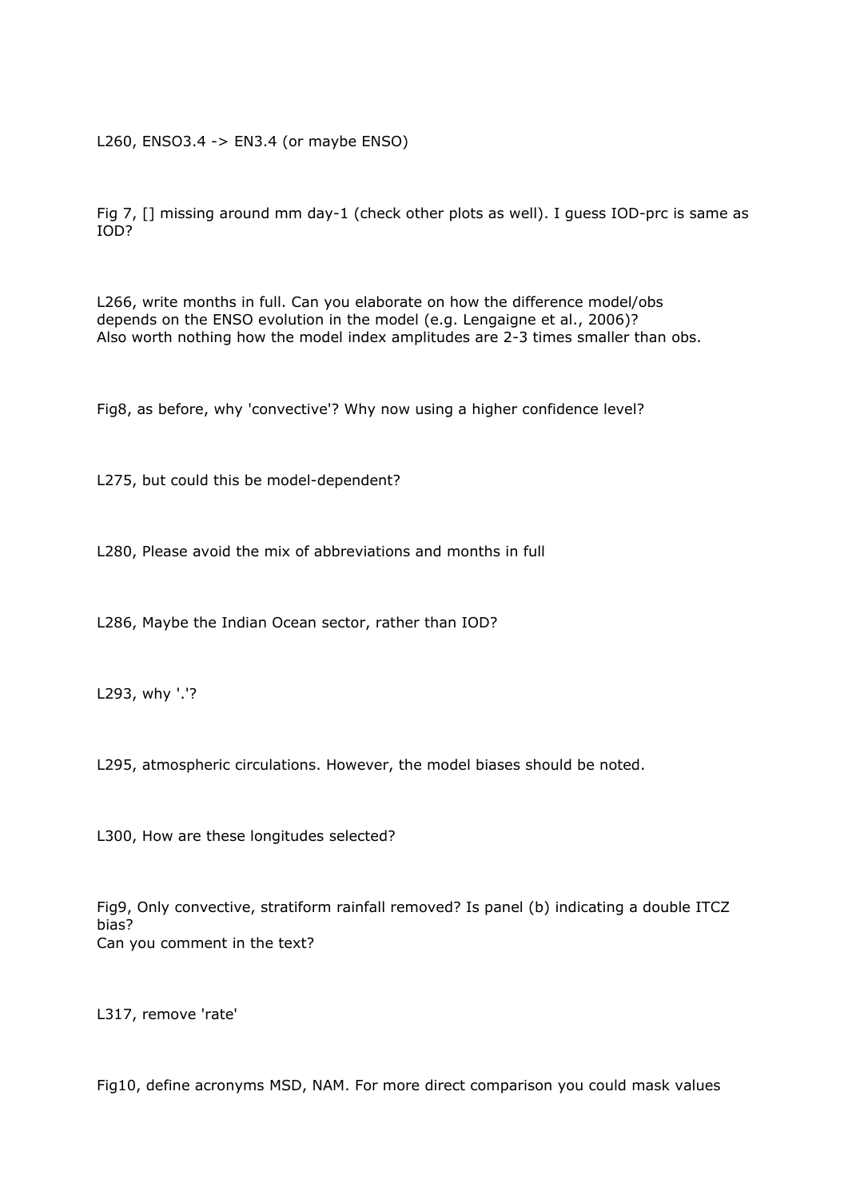L260, ENSO3.4 -> EN3.4 (or maybe ENSO)

Fig 7, [] missing around mm day-1 (check other plots as well). I guess IOD-prc is same as IOD?

L266, write months in full. Can you elaborate on how the difference model/obs depends on the ENSO evolution in the model (e.g. Lengaigne et al., 2006)? Also worth nothing how the model index amplitudes are 2-3 times smaller than obs.

Fig8, as before, why 'convective'? Why now using a higher confidence level?

L275, but could this be model-dependent?

L280, Please avoid the mix of abbreviations and months in full

L286, Maybe the Indian Ocean sector, rather than IOD?

L293, why '.'?

L295, atmospheric circulations. However, the model biases should be noted.

L300, How are these longitudes selected?

Fig9, Only convective, stratiform rainfall removed? Is panel (b) indicating a double ITCZ bias? Can you comment in the text?

L317, remove 'rate'

Fig10, define acronyms MSD, NAM. For more direct comparison you could mask values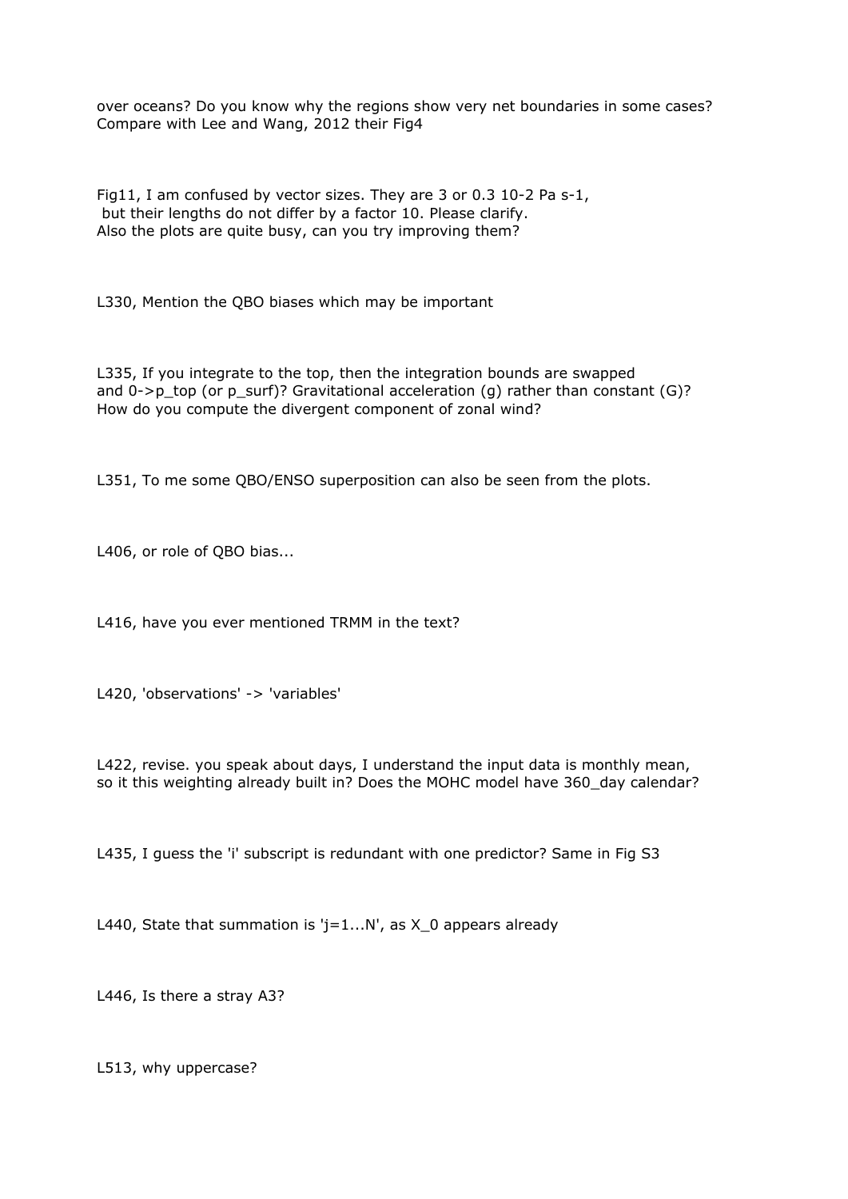over oceans? Do you know why the regions show very net boundaries in some cases? Compare with Lee and Wang, 2012 their Fig4

Fig11, I am confused by vector sizes. They are 3 or 0.3 10-2 Pa s-1, but their lengths do not differ by a factor 10. Please clarify. Also the plots are quite busy, can you try improving them?

L330, Mention the QBO biases which may be important

L335, If you integrate to the top, then the integration bounds are swapped and  $0\rightarrow p$  top (or p\_surf)? Gravitational acceleration (g) rather than constant (G)? How do you compute the divergent component of zonal wind?

L351, To me some QBO/ENSO superposition can also be seen from the plots.

L406, or role of QBO bias...

L416, have you ever mentioned TRMM in the text?

L420, 'observations' -> 'variables'

L422, revise. you speak about days, I understand the input data is monthly mean, so it this weighting already built in? Does the MOHC model have 360\_day calendar?

L435, I guess the 'i' subscript is redundant with one predictor? Same in Fig S3

L440, State that summation is ' $j=1...N'$ , as X 0 appears already

L446, Is there a stray A3?

L513, why uppercase?